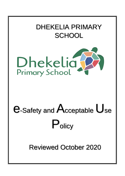

Reviewed October 2020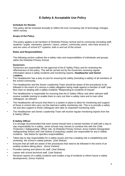# **E-Safety & Acceptable Use Policy**

#### **Schedule for Review**

This policy will be reviewed annually to reflect the ever increasing role of technology changes within society.

### **Scope of the Policy**

This policy applies to all members of Dhekelia Primary School and its community (including staff, students / pupils, volunteers, parents / carers, visitors, community users) who have access to and are users of school ICT systems, both in and out of the school.

#### **Roles and Responsibilities**

The following section outlines the e-safety roles and responsibilities of individuals and groups within the Dhekelia Primary School.

#### **Governors**

Governors are responsible for the approval of the E-Safety Policy and for reviewing the effectiveness of the policy. This will be carried out by the Governors receiving regular information about e-safety incidents and monitoring reports. **Headteacher and Senior Leaders:** 

- The Headteacher has a duty of care for ensuring the safety (including e-safety) of all members of the school community.
- The Headteacher and the Senior Leadership Team should be aware of the procedures to be followed in the event of a serious e-safety allegation being made against a member of staff. (see flow chart on dealing with e-safety incidents "Responding to incidents of misuse".
- The Headteacher is responsible for ensuring that the E-Safety Officer and other relevant staff receive suitable training to enable them to carry out their e-safety roles and to train other colleagues, as relevant.
- The Headteacher will ensure that there is a system in place to allow for monitoring and support of those in school who carry out the internal e-safety monitoring role. This is to provide a safety net and also support to those colleagues who take on important monitoring roles*.*
- The Headteacher and Senior Leadership Team will receive regular monitoring reports from the E-Safety Officer.

## **E-Safety Officer:**

It is strongly recommended that each school should have a named member of staff with a day to day responsibility for e-safety, some schools may choose to combine this with the Child Protection / Safeguarding Officer role. At Dhekelia Primary School, Anna Vrahimi (Designated Safeguarding Senior) and Joel Stokoe (Computing Leader) are responsible for any e-Safety incidents. See below for specifics responsibilities

- Takes day to day responsibility for e-safety issues and has a leading role in establishing and reviewing the school e-safety policies. (Joel Stokoe)
- Ensures that all staff are aware of the procedures that need to be followed in the event of an esafety incident taking place. (Anna Vrahimi)
- Provides training and advice for staff. (Joel Stokoe)
- Liaises with school technical staff. (Joel Stokoe)
- Recieves reports of e-safety incidents and creates a log of incidents to inform future e-safety developments, (Anna Vrahimi)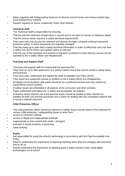- Meets regularly with Safeguarding Governor to discuss current issues and review incident logs. (Joel Stokoe/Anna Vrahimi)
- Reports regularly to Senior Leadership Team (Joel Stokoe)

# **Technical staff:**

The Technical Staff is responsible for ensuring:

- That the school's technical infrastructure is secure and is not open to misuse or malicious attack.
- That the school meets required e-safety technical requirements.
- That users may only access the networks and devices through a properly enforced password protection policy, in which passwords are regularly changed.
- That they keep up to date with e-safety technical information in order to effectively carry out their e-safety role and to inform and update others as relevant
- That the use of the hardware and network is regularly monitored in order that any misuse can be reported to the e-safety officer and Headteacher.

## **Teaching and Support Staff**

Teaching and support staff are responsible for ensuring that:

- They have an up to date awareness of e-safety matters and of the current school e-safety policy and practices.
- They have read, understood and signed the Staff Acceptable Use Policy (AUP).
- They report any suspected misuse or problem to the e-safety officer and Headteacher.
- All digital communications with pupils should be on a professional level and only carried out using official school systems.
- E-safety issues are embedded in all aspects of the curriculum and other activities.
- Pupils understand and follow the e-safety and acceptable use policies.
- In lessons where internet use is pre-planned pupils should be guided to sites checked as suitable for their use and that processes are in place for dealing with any unsuitable material that is found in internet searches.

## **Child Protection Officer**

The child protection officer should be trained in e-safety issues and be aware of the potential for serious child protection / safeguarding issues to arise from:

- access to extremist material
- access to illegal and inappropriate materials
- inappropriate on-line contact with adults / strangers
- potential or actual incidents of grooming
- cyber-bullying

## **Pupils**

- **•** Are responsible for using the school's technology in accordance with the Pupil Acceptable Use Policy.
- **•** Need to understand the importance of reporting anything which they are unhappy with and know how to do so
- **•** Should understand the importance of adopting good e-safety practice when using digital technologies out of school.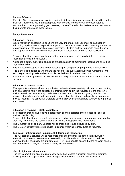#### **Parents / Carers**

Parents / Carers play a crucial role in ensuring that their children understand the need to use the internet / mobile devices in an appropriate way. Parents and carers will be encouraged to support the school in promoting good e-safety practice The school will take every opportunity to help parents understand these issues.

#### **Policy Statements**

#### **Education – pupils**

Whilst regulation and technical solutions are very important, their use must be balanced by educating pupils to take a responsible approach. The education of pupils in e-safety is therefore an essential part of the school's e-safety provision. Children and young people need the help and support of the school to recognise and avoid e-safety risks and build their resilience.

- **•** E-safety should be a focus in all areas of the curriculum and staff should reinforce e-safety messages across the curriculum.
- **•** A planned e-safety curriculum should be provided as part of Computing lessons and should be regularly revisited.
- **•** Key e-safety messages should be reinforced as part of a planned programme of assemblies.
- **•** Pupils should be helped to understand the need for the pupil Acceptable Use Agreement and encouraged to adopt safe and responsible use both within and outside school.
- **•** Staff should act as good role models in their use of digital technologies the internet and mobile devices.

#### **Education – parents / carers**

Many parents and carers have only a limited understanding of e-safety risks and issues, yet they play an essential role in the education of their children and in the regulation of the children's online behaviours. Parents may underestimate how often children and young people come across potentially harmful and inappropriate material on the internet and may be unsure about how to respond. The school will therefore seek to provide information and awareness to parents and carers.

#### **Education & Training – Staff / Volunteers**

It is essential that all staff receive e-safety training and understand their responsibilities, as outlined in this policy.

- **•** All new staff should receive e-safety training as part of their induction programme, ensuring that they fully understand the school e-safety policy and Acceptable Use Agreements.
- **•** This E-Safety policy and any updates will be presented to and discussed by staff.
- **•** The E-Safety Officer will provide advice / guidance / training to individuals as required.

#### **Technical – infrastructure / equipment, filtering and monitoring**

The ICT technical services will be responsible for ensuring that the school infrastructure / network is as safe and secure as is reasonably possible and that policies and procedures approved within this policy are implemented. It will also need to ensure that the relevant people will be effective in carrying out their e-safety responsibilities.

#### **Use of digital and video images**

The development of digital imaging technologies has created significant benefits to learning, allowing staff and pupils instant use of images that they have recorded themselves or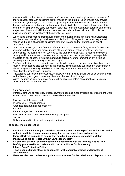downloaded from the internet. However, staff, parents / carers and pupils need to be aware of the risks associated with publishing digital images on the internet. Such images may provide avenues for cyberbullying to take place. Digital images may remain available on the internet forever and may cause harm or embarrassment to individuals in the short or longer term. It is common for employers to carry out internet searches for information about potential and existing employees. The school will inform and educate users about these risks and will implement policies to reduce the likelihood of the potential for harm:

- **•** When using digital images, staff should inform and educate pupils about the risks associated with the taking, use, sharing, publication and distribution of images. In particular they should recognise the risks attached to publishing their own images on the internet eg on social networking sites.
- **•** In accordance with guidance from the Information Commissioner's Office, parents / carers are welcome to take videos and digital images of their children at school events for their own personal use (as such use in not covered by the Data Protection Act). To respect everyone's privacy and in some cases protection, these images should not be published / made publicly available on social networking sites, nor should parents / carers comment on any activities involving other pupils in the digital / video images.
- **•** Staff and volunteers are allowed to take digital / video images to support educational aims, but must follow school policies concerning the sharing, distribution and publication of those images. Those images should only be taken on school equipment, the personal equipment of staff should not be used for such purposes.
- **•** Photographs published on the website, or elsewhere that include pupils will be selected carefully and will comply with good practice guidance on the use of such images.
- **•** Written permission from parents or carers will be obtained before photographs of pupils are published on the school website

# **Data Protection**

Personal data will be recorded, processed, transferred and made available according to the Data Protection Act 1998 which states that personal data must be:

- Fairly and lawfully processed
- Processed for limited purposes
- Adequate, relevant and not excessive
- **Accurate**
- Kept no longer than is necessary
- Processed in accordance with the data subject's rights
- **Secure**
- Only transferred to others with adequate protection.

## **The school must ensure that:**

- **It will hold the minimum personal data necessary to enable it to perform its function and it will not hold it for longer than necessary for the purposes it was collected for.**
- **Every effort will be made to ensure that data held is accurate, up to date and that inaccuracies are corrected without unnecessary delay.**
- **All personal data will be fairly obtained in accordance with the "Privacy Notice" and lawfully processed in accordance with the "Conditions for Processing". It has a Data Protection Policy**
- **It has clear and understood arrangements for the security, storage and transfer of personal data**
- **There are clear and understood policies and routines for the deletion and disposal of data**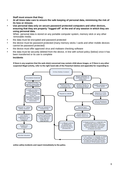**Staff must ensure that they:** 

- **• At all times take care to ensure the safe keeping of personal data, minimising the risk of its loss or misuse.**
- **• Use personal data only on secure password protected computers and other devices, ensuring that they are properly "logged-off" at the end of any session in which they are using personal data.**

When personal data is stored on any portable computer system, memory stick or any other removable media:

- **•** the data must be encrypted and password protected
- **•** the device must be password protected (many memory sticks / cards and other mobile devices cannot be password protected)
- **•** the device must offer approved virus and malware checking software
- **•** the data must be securely deleted from the device, in line with school policy (below) once it has been transferred or its use is complete

#### **Incidents**

**If there is any suspicion that the web site(s) concerned may contain child abuse images, or if there is any other suspected illegal activity, refer to the right hand side of the Flowchart (below and appendix) for responding to** 



**online safety incidents and report immediately to the police.**